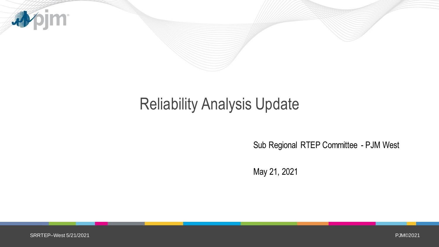

# Reliability Analysis Update

Sub Regional RTEP Committee - PJM West

May 21, 2021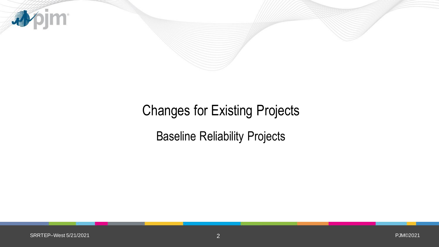

# Changes for Existing Projects

Baseline Reliability Projects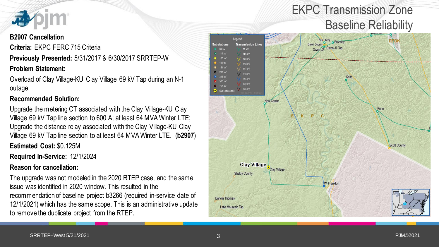

#### **B2907 Cancellation**

**Criteria:** EKPC FERC 715 Criteria

**Previously Presented:** 5/31/2017 & 6/30/2017 SRRTEP-W

### **Problem Statement:**

Overload of Clay Village-KU Clay Village 69 kV Tap during an N-1 outage.

### **Recommended Solution:**

Upgrade the metering CT associated with the Clay Village-KU Clay Village 69 kV Tap line section to 600 A; at least 64 MVA Winter LTE; Upgrade the distance relay associated with the Clay Village-KU Clay Village 69 kV Tap line section to at least 64 MVA Winter LTE. (**b2907**)

**Estimated Cost:** \$0.125M

**Required In-Service:** 12/1/2024

### **Reason for cancellation:**

The upgrade was not modeled in the 2020 RTEP case, and the same issue was identified in 2020 window. This resulted in the recommendation of baseline project b3266 (required in-service date of 12/1/2021) which has the same scope. This is an administrative update to remove the duplicate project from the RTEP.

### EKPC Transmission Zone Baseline Reliability

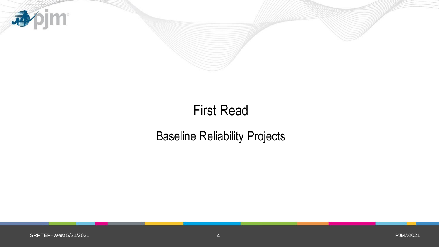

# First Read

### Baseline Reliability Projects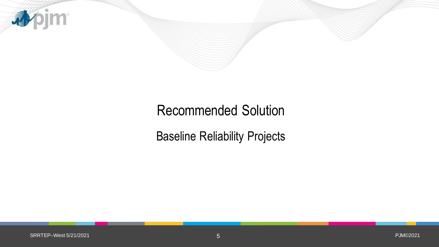

### Recommended Solution

Baseline Reliability Projects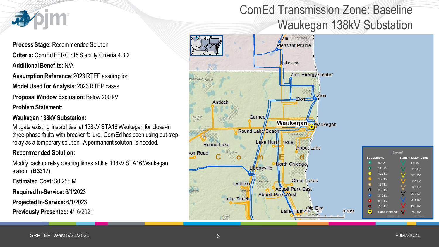

**Process Stage:** Recommended Solution **Criteria:** ComEd FERC 715 Stability Criteria 4.3.2 **Additional Benefits:** N/A

**Assumption Reference**: 2023 RTEP assumption **Model Used for Analysis**: 2023 RTEP cases

**Proposal Window Exclusion:** Below 200 kV

**Problem Statement:** 

#### **Waukegan 138kV Substation:**

Mitigate existing instabilities at 138kV STA16 Waukegan for close-in three-phase faults with breaker failure. ComEd has been using out-steprelay as a temporary solution. A permanent solution is needed.

#### **Recommended Solution:**

Modify backup relay clearing times at the 138kV STA16 Waukegan station. (**B3317**)

**Estimated Cost:** \$0.255 M

**Required In-Service:** 6/1/2023

**Projected In-Service:** 6/1/2023

**Previously Presented:** 4/16/2021

### ComEd Transmission Zone: Baseline Waukegan 138kV Substation

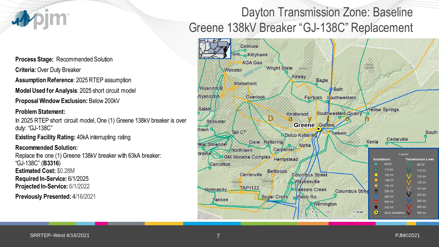

**Process Stage:** Recommended Solution

**Criteria:** Over Duty Breaker

**Assumption Reference**: 2025 RTEP assumption

**Model Used for Analysis**: 2025 short circuit model

**Proposal Window Exclusion:** Below 200kV

#### **Problem Statement:**

In 2025 RTEP short circuit model, One (1) Greene 138kV breaker is over duty: "GJ-138C"

**Existing Facility Rating: 40kA interrupting rating** 

#### **Recommended Solution:**

Replace the one (1) Greene 138kV breaker with 63kA breaker: "GJ-138C" (**B3316**) **Estimated Cost:** \$0.28M **Required In-Service:** 6/1/2025 **Projected In-Service:** 6/1/2022

**Previously Presented:** 4/16/2021

### Dayton Transmission Zone: Baseline Greene 138kV Breaker "GJ-138C" Replacement

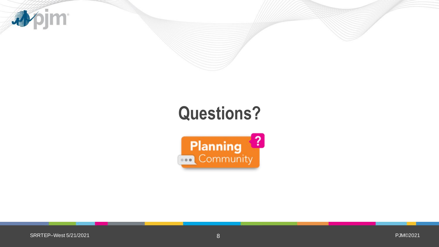

# **Questions?**